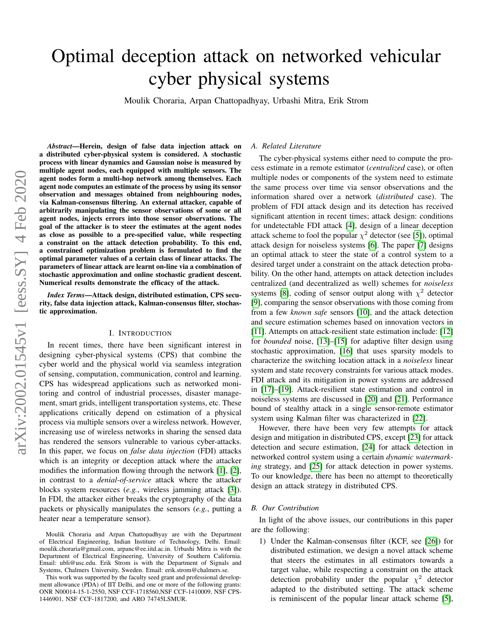# Optimal deception attack on networked vehicular cyber physical systems

Moulik Choraria, Arpan Chattopadhyay, Urbashi Mitra, Erik Strom

*Abstract*—Herein, design of false data injection attack on a distributed cyber-physical system is considered. A stochastic process with linear dynamics and Gaussian noise is measured by multiple agent nodes, each equipped with multiple sensors. The agent nodes form a multi-hop network among themselves. Each agent node computes an estimate of the process by using its sensor observation and messages obtained from neighbouring nodes, via Kalman-consensus filtering. An external attacker, capable of arbitrarily manipulating the sensor observations of some or all agent nodes, injects errors into those sensor observations. The goal of the attacker is to steer the estimates at the agent nodes as close as possible to a pre-specified value, while respecting a constraint on the attack detection probability. To this end, a constrained optimization problem is formulated to find the optimal parameter values of a certain class of linear attacks. The parameters of linear attack are learnt on-line via a combination of stochastic approximation and online stochastic gradient descent. Numerical results demonstrate the efficacy of the attack.

*Index Terms*—Attack design, distributed estimation, CPS security, false data injection attack, Kalman-consensus filter, stochastic approximation.

#### I. INTRODUCTION

In recent times, there have been significant interest in designing cyber-physical systems (CPS) that combine the cyber world and the physical world via seamless integration of sensing, computation, communication, control and learning. CPS has widespread applications such as networked monitoring and control of industrial processes, disaster management, smart grids, intelligent transportation systems, etc. These applications critically depend on estimation of a physical process via multiple sensors over a wireless network. However, increasing use of wireless networks in sharing the sensed data has rendered the sensors vulnerable to various cyber-attacks. In this paper, we focus on *false data injection* (FDI) attacks which is an integrity or deception attack where the attacker modifies the information flowing through the network [\[1\]](#page-4-0), [\[2\]](#page-4-1), in contrast to a *denial-of-service* attack where the attacker blocks system resources (*e.g.*, wireless jamming attack [\[3\]](#page-5-0)). In FDI, the attacker either breaks the cryptography of the data packets or physically manipulates the sensors (*e.g.*, putting a heater near a temperature sensor).

This work was supported by the faculty seed grant and professional development allowance (PDA) of IIT Delhi, and one or more of the following grants: ONR N00014-15-1-2550, NSF CCF-1718560,NSF CCF-1410009, NSF CPS-1446901, NSF CCF-1817200, and ARO 74745LSMUR.

#### *A. Related Literature*

The cyber-physical systems either need to compute the process estimate in a remote estimator (*centralized* case), or often multiple nodes or components of the system need to estimate the same process over time via sensor observations and the information shared over a network (*distributed* case). The problem of FDI attack design and its detection has received significant attention in recent times; attack design: conditions for undetectable FDI attack [\[4\]](#page-5-1), design of a linear deception attack scheme to fool the popular  $\chi^2$  detector (see [\[5\]](#page-5-2)), optimal attack design for noiseless systems [\[6\]](#page-5-3). The paper [\[7\]](#page-5-4) designs an optimal attack to steer the state of a control system to a desired target under a constraint on the attack detection probability. On the other hand, attempts on attack detection includes centralized (and decentralized as well) schemes for *noiseless* systems [\[8\]](#page-5-5), coding of sensor output along with  $\chi^2$  detector [\[9\]](#page-5-6), comparing the sensor observations with those coming from from a few *known safe* sensors [\[10\]](#page-5-7), and the attack detection and secure estimation schemes based on innovation vectors in [\[11\]](#page-5-8). Attempts on attack-resilient state estimation include: [\[12\]](#page-5-9) for *bounded* noise, [\[13\]](#page-5-10)–[\[15\]](#page-5-11) for adaptive filter design using stochastic approximation, [\[16\]](#page-5-12) that uses sparsity models to characterize the switching location attack in a *noiseless* linear system and state recovery constraints for various attack modes. FDI attack and its mitigation in power systems are addressed in [\[17\]](#page-5-13)–[\[19\]](#page-5-14). Attack-resilient state estimation and control in noiseless systems are discussed in [\[20\]](#page-5-15) and [\[21\]](#page-5-16). Performance bound of stealthy attack in a single sensor-remote estimator system using Kalman filter was characterized in [\[22\]](#page-5-17).

However, there have been very few attempts for attack design and mitigation in distributed CPS, except [\[23\]](#page-5-18) for attack detection and secure estimation, [\[24\]](#page-5-19) for attack detection in networked control system using a certain *dynamic watermarking* strategy, and [\[25\]](#page-5-20) for attack detection in power systems. To our knowledge, there has been no attempt to theoretically design an attack strategy in distributed CPS.

#### *B. Our Contribution*

In light of the above issues, our contributions in this paper are the following:

1) Under the Kalman-consensus filter (KCF, see [\[26\]](#page-5-21)) for distributed estimation, we design a novel attack scheme that steers the estimates in all estimators towards a target value, while respecting a constraint on the attack detection probability under the popular  $\chi^2$  detector adapted to the distributed setting. The attack scheme is reminiscent of the popular linear attack scheme [\[5\]](#page-5-2),

Moulik Choraria and Arpan Chattopadhyay are with the Department of Electrical Engineering, Indian Institure of Technology, Delhi. Email: moulik.choraria@gmail.com, arpanc@ee.iitd.ac.in. Urbashi Mitra is with the Department of Electrical Engineering, University of Southern California. Email: ubli@usc.edu. Erik Strom is with the Department of Signals and Systems, Chalmers University, Sweden. Email: erik.strom@chalmers.se.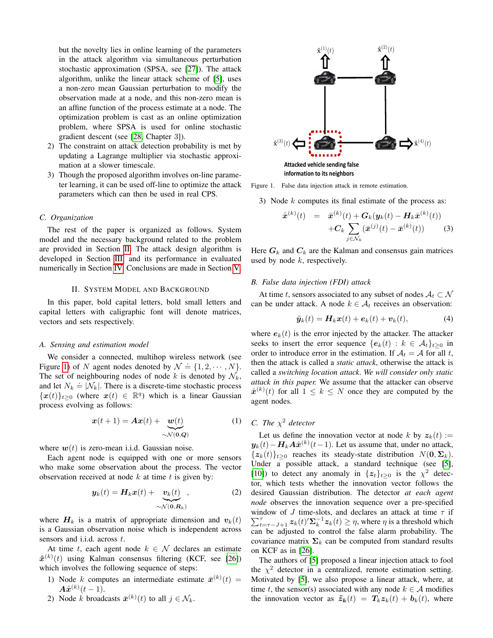but the novelty lies in online learning of the parameters in the attack algorithm via simultaneous perturbation stochastic approximation (SPSA, see [\[27\]](#page-5-22)). The attack algorithm, unlike the linear attack scheme of [\[5\]](#page-5-2), uses a non-zero mean Gaussian perturbation to modify the observation made at a node, and this non-zero mean is an affine function of the process estimate at a node. The optimization problem is cast as an online optimization problem, where SPSA is used for online stochastic gradient descent (see [\[28,](#page-5-23) Chapter 3]).

- 2) The constraint on attack detection probability is met by updating a Lagrange multiplier via stochastic approximation at a slower timescale.
- 3) Though the proposed algorithm involves on-line parameter learning, it can be used off-line to optimize the attack parameters which can then be used in real CPS.

# *C. Organization*

The rest of the paper is organized as follows. System model and the necessary background related to the problem are provided in Section [II.](#page-1-0) The attack design algorithm is developed in Section [III,](#page-2-0) and its performance in evaluated numerically in Section [IV.](#page-4-2) Conclusions are made in Section [V.](#page-4-3)

# II. SYSTEM MODEL AND BACKGROUND

<span id="page-1-0"></span>In this paper, bold capital letters, bold small letters and capital letters with caligraphic font will denote matrices, vectors and sets respectively.

### *A. Sensing and estimation model*

We consider a connected, multihop wireless network (see Figure [1\)](#page-1-1) of N agent nodes denoted by  $\mathcal{N} \doteq \{1, 2, \cdots, N\}.$ The set of neighbouring nodes of node k is denoted by  $\mathcal{N}_k$ , and let  $N_k \doteq |N_k|$ . There is a discrete-time stochastic process  $\{x(t)\}_{t\geq 0}$  (where  $x(t) \in \mathbb{R}^q$ ) which is a linear Gaussian process evolving as follows:

$$
\boldsymbol{x}(t+1) = \boldsymbol{A}\boldsymbol{x}(t) + \underbrace{\boldsymbol{w}(t)}_{\sim \mathcal{N}(\mathbf{0},\boldsymbol{Q})}
$$
(1)

where  $w(t)$  is zero-mean i.i.d. Gaussian noise.

Each agent node is equipped with one or more sensors who make some observation about the process. The vector observation received at node  $k$  at time  $t$  is given by:

$$
\boldsymbol{y}_k(t) = \boldsymbol{H}_k \boldsymbol{x}(t) + \underbrace{\boldsymbol{v}_k(t)}_{\sim \mathcal{N}(\mathbf{0}, \boldsymbol{R}_k)},
$$
(2)

where  $H_k$  is a matrix of appropriate dimension and  $v_k(t)$ is a Gaussian observation noise which is independent across sensors and i.i.d. across t.

At time t, each agent node  $k \in \mathcal{N}$  declares an estimate  $\hat{\boldsymbol{x}}^{(k)}(t)$  using Kalman consensus filtering (KCF, see [\[26\]](#page-5-21)) which involves the following sequence of steps:

- 1) Node k computes an intermediate estimate  $\bar{x}^{(k)}(t) =$  $A\hat{x}^{(k)}(t-1).$
- 2) Node k broadcasts  $\bar{x}^{(k)}(t)$  to all  $j \in \mathcal{N}_k$ .



Figure 1. False data injection attack in remote estimation.

<span id="page-1-1"></span>3) Node k computes its final estimate of the process as:

<span id="page-1-2"></span>
$$
\hat{\boldsymbol{x}}^{(k)}(t) = \bar{\boldsymbol{x}}^{(k)}(t) + \boldsymbol{G}_k(\boldsymbol{y}_k(t) - \boldsymbol{H}_k \bar{\boldsymbol{x}}^{(k)}(t)) \n+ \boldsymbol{C}_k \sum_{j \in \mathcal{N}_k} (\bar{\boldsymbol{x}}^{(j)}(t) - \bar{\boldsymbol{x}}^{(k)}(t))
$$
\n(3)

Here  $G_k$  and  $C_k$  are the Kalman and consensus gain matrices used by node  $k$ , respectively.

#### *B. False data injection (FDI) attack*

At time t, sensors associated to any subset of nodes  $A_t \subset \mathcal{N}$ can be under attack. A node  $k \in A_t$  receives an observation:

$$
\tilde{\boldsymbol{y}}_k(t) = \boldsymbol{H}_k \boldsymbol{x}(t) + \boldsymbol{e}_k(t) + \boldsymbol{v}_k(t), \tag{4}
$$

where  $e_k(t)$  is the error injected by the attacker. The attacker seeks to insert the error sequence  ${e_k(t) : k \in \mathcal{A}_t}_{t \geq 0}$  in order to introduce error in the estimation. If  $A_t = A$  for all t, then the attack is called a *static attack*, otherwise the attack is called a *switching location attack*. *We will consider only static attack in this paper.* We assume that the attacker can observe  $\hat{x}^{(k)}(t)$  for all  $1 \leq k \leq N$  once they are computed by the agent nodes.

# *C.* The  $\chi^2$  detector

Let us define the innovation vector at node k by  $z_k(t)$  :=  $y_k(t) - H_k A \hat{x}^{(k)}(t-1)$ . Let us assume that, under no attack,  ${z_k(t)}_{t>0}$  reaches its steady-state distribution  $N(\mathbf{0}, \Sigma_k)$ . Under a possible attack, a standard technique (see [\[5\]](#page-5-2), [\[10\]](#page-5-7)) to detect any anomaly in  $\{z_t\}_{t\geq 0}$  is the  $\chi^2$  detector, which tests whether the innovation vector follows the desired Gaussian distribution. The detector *at each agent node* observes the innovation sequence over a pre-specified window of J time-slots, and declares an attack at time  $\tau$  if  $\sum_{t=\tau-J+1}^{\tau} z_k(t) \sum_{k=1}^{T} z_k(t) \geq \eta$ , where  $\eta$  is a threshold which can be adjusted to control the false alarm probability. The covariance matrix  $\Sigma_k$  can be computed from standard results on KCF as in [\[26\]](#page-5-21).

The authors of [\[5\]](#page-5-2) proposed a linear injection attack to fool the  $\chi^2$  detector in a centralized, remote estimation setting. Motivated by [\[5\]](#page-5-2), we also propose a linear attack, where, at time t, the sensor(s) associated with any node  $k \in A$  modifies the innovation vector as  $\tilde{z}_k(t) = T_k z_k(t) + b_k(t)$ , where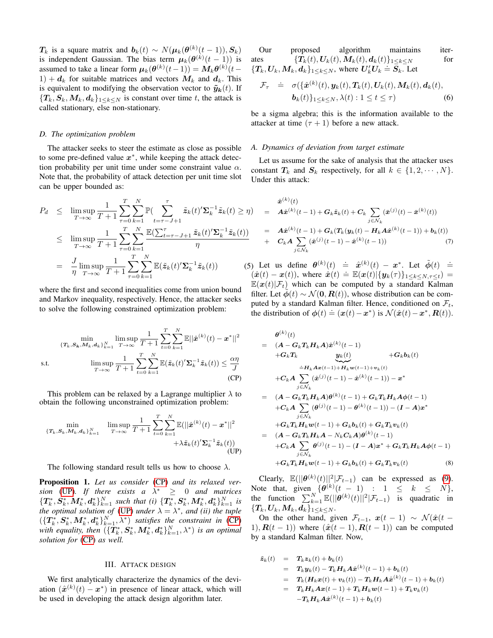$T_k$  is a square matrix and  $\mathbf{b}_k(t) \sim N(\boldsymbol{\mu}_k(\boldsymbol{\theta}^{(k)}(t-1)), \boldsymbol{S}_k)$ is independent Gaussian. The bias term  $\mu_k(\theta^{(k)}(t-1))$  is assumed to take a linear form  $\mu_k(\theta^{(k)}(t-1)) = M_k\theta^{(k)}(t-1)$  $1) + d_k$  for suitable matrices and vectors  $M_k$  and  $d_k$ . This is equivalent to modifying the observation vector to  $\tilde{\mathbf{y}}_{k}(t)$ . If  ${T_k, S_k, M_k, d_k}_{1 \leq k \leq N}$  is constant over time t, the attack is called stationary, else non-stationary.

# *D. The optimization problem*

The attacker seeks to steer the estimate as close as possible to some pre-defined value  $x^*$ , while keeping the attack detection probability per unit time under some constraint value  $\alpha$ . Note that, the probability of attack detection per unit time slot can be upper bounded as:

$$
P_d \leq \limsup_{T \to \infty} \frac{1}{T+1} \sum_{\tau=0}^T \sum_{k=1}^N \mathbb{P}(\sum_{t=\tau-J+1}^{\tau} \tilde{z}_k(t)'\Sigma_k^{-1}\tilde{z}_k(t) \geq \eta)
$$
  
\n
$$
\leq \limsup_{T \to \infty} \frac{1}{T+1} \sum_{\tau=0}^T \sum_{k=1}^N \frac{\mathbb{E}(\sum_{t=\tau-J+1}^{\tau} \tilde{z}_k(t)'\Sigma_k^{-1}\tilde{z}_k(t))}{\eta}
$$
  
\n
$$
= \frac{J}{\eta} \limsup_{T \to \infty} \frac{1}{T+1} \sum_{\tau=0}^T \sum_{k=1}^N \mathbb{E}(\tilde{z}_k(t)'\Sigma_k^{-1}\tilde{z}_k(t)) \qquad (5)
$$

where the first and second inequalities come from union bound and Markov inequality, respectively. Hence, the attacker seeks to solve the following constrained optimization problem:

$$
\min_{\{T_k, S_k, M_k, d_k\}_{k=1}^N} \limsup_{T \to \infty} \frac{1}{T+1} \sum_{t=0}^T \sum_{k=1}^N \mathbb{E} ||\hat{\boldsymbol{x}}^{(k)}(t) - \boldsymbol{x}^*||^2
$$
\ns.t.\n
$$
\limsup_{T \to \infty} \frac{1}{T+1} \sum_{t=0}^T \sum_{k=1}^N \mathbb{E}(\tilde{\boldsymbol{z}}_k(t)^\prime \boldsymbol{\Sigma}_k^{-1} \tilde{\boldsymbol{z}}_k(t)) \le \frac{\alpha \eta}{J}
$$
\n(CP)

This problem can be relaxed by a Lagrange multiplier  $\lambda$  to obtain the following unconstrained optimization problem:

$$
\min_{\{T_k, S_k, \mathcal{M}_k, \mathbf{d}_k\}_{k=1}^N} \quad \limsup_{T \to \infty} \frac{1}{T+1} \sum_{t=0}^T \sum_{k=1}^N \mathbb{E}(\|\hat{\boldsymbol{x}}^{(k)}(t) - \boldsymbol{x}^*\|^2 + \lambda \tilde{\boldsymbol{z}}_k(t') \mathbf{\Sigma}_k^{-1} \tilde{\boldsymbol{z}}_k(t)) \tag{UP}
$$

The following standard result tells us how to choose  $\lambda$ .

Proposition 1. *Let us consider* [\(CP\)](#page-2-1) *and its relaxed version* [\(UP\)](#page-2-2). If there exists  $a \lambda^* \geq 0$  and matrices  $\{T_k^*, S_k^*, M_k^*, d_k^* \}_{k=1}^N$  such that (i)  $\{T_k^*, S_k^*, M_k^*, d_k^* \}_{k=1}^N$  is *the optimal solution of* [\(UP\)](#page-2-2) *under*  $\lambda = \lambda^*$ *, and (ii) the tuple*  $(\{\bm{T}_k^*,\bm{S}_k^*,\bm{M}_k^*,\bm{d}_k^*\}_{k=1}^N,\lambda^*)$  *satisfies the constraint in* [\(CP\)](#page-2-1) with equality, then  $(\{\bm{T}_k^*,\bm{S}_k^*,\bm{M}_k^*,\bm{d}_k^*\}_{k=1}^N,\lambda^*)$  is an optimal *solution for* [\(CP\)](#page-2-1) *as well.*

#### III. ATTACK DESIGN

<span id="page-2-0"></span>We first analytically characterize the dynamics of the deviation  $(\hat{x}^{(k)}(t) - x^*)$  in presence of linear attack, which will be used in developing the attack design algorithm later.

Our proposed algorithm maintains iterates  $\{T_k(t), U_k(t), M_k(t), d_k(t)\}_{1\leq k\leq N}$  for  $\{T_k, U_k, M_k, d_k\}_{1 \leq k \leq N}$ , where  $U'_k U_k \doteq S_k$ . Let

$$
\mathcal{F}_{\tau} \quad \dot{=} \quad \sigma(\{\hat{\boldsymbol{x}}^{(k)}(t), \boldsymbol{y}_k(t), \boldsymbol{T}_k(t), \boldsymbol{U}_k(t), \boldsymbol{M}_k(t), \boldsymbol{d}_k(t), \boldsymbol{b}_k(t)\}_{1 \leq k \leq N}, \lambda(t) : 1 \leq t \leq \tau)
$$
\n
$$
(6)
$$

be a sigma algebra; this is the information available to the attacker at time  $(\tau + 1)$  before a new attack.

#### *A. Dynamics of deviation from target estimate*

Let us assume for the sake of analysis that the attacker uses constant  $T_k$  and  $S_k$  respectively, for all  $k \in \{1, 2, \dots, N\}.$ Under this attack:

$$
\hat{\mathbf{x}}^{(k)}(t) = \mathbf{A}\hat{\mathbf{x}}^{(k)}(t-1) + \mathbf{G}_k \tilde{\mathbf{z}}_k(t) + \mathbf{C}_k \sum_{j \in \mathcal{N}_k} (\bar{\mathbf{x}}^{(j)}(t) - \bar{\mathbf{x}}^{(k)}(t))
$$
\n
$$
= \mathbf{A}\hat{\mathbf{x}}^{(k)}(t-1) + \mathbf{G}_k(\mathbf{T}_k(\mathbf{y}_k(t) - \mathbf{H}_k \mathbf{A}\hat{\mathbf{x}}^{(k)}(t-1)) + \mathbf{b}_k(t))
$$
\n
$$
+ \mathbf{C}_k \mathbf{A} \sum_{j \in \mathcal{N}_k} (\hat{\mathbf{x}}^{(j)}(t-1) - \hat{\mathbf{x}}^{(k)}(t-1)) \tag{7}
$$

Let us define  $\theta^{(k)}(t) \doteq \hat{x}^{(k)}(t) - x^*$ . Let  $\tilde{\phi}(t) \doteq$ (x<sup>o</sup>) =  $\int_a^b$  (x<sup>o</sup>) =  $\int_a^b$  (v) =  $\int_a^b$  (v) =  $\int_a^b$  (x(t) =  $\int_a^b$  (x(t) =  $\int_a^b$  (x(t) =  $\int_a^b$  (x(t) =  $\int_a^b$  (x(t) =  $\int_a^b$  (x(t) =  $\int_a^b$  (x(t) =  $\int_a^b$  (x(t) =  $\int_a^b$  (x(t) =  $\int_a^b$  (x(t) =  $\int_a^b$  $\mathbb{E}(\boldsymbol{x}(t)|\mathcal{F}_t)$  which can be computed by a standard Kalman filter. Let  $\phi(t) \sim \mathcal{N}(\mathbf{0}, \mathbf{R}(t))$ , whose distribution can be computed by a standard Kalman filter. Hence, conditioned on  $\mathcal{F}_t$ , the distribution of  $\phi(t) = (x(t) - x^*)$  is  $\mathcal{N}(\hat{x}(t) - x^*, R(t))$ .

<span id="page-2-1"></span>
$$
\theta^{(k)}(t) = (A - G_k T_k H_k A) \hat{x}^{(k)}(t-1) \n+ G_k T_k \t\t y_k(t) + G_k b_k(t) \n= H_k A x(t-1) + H_k w(t-1) + v_k(t) \n+ C_k A \sum_{j \in \mathcal{N}_k} (\hat{x}^{(j)}(t-1) - \hat{x}^{(k)}(t-1)) - x^* \n= (A - G_k T_k H_k A) \theta^{(k)}(t-1) + G_k T_k H_k A \phi(t-1) \n+ C_k A \sum_{j \in \mathcal{N}_k} (\theta^{(j)}(t-1) - \theta^{(k)}(t-1)) - (I - A) x^* \n+ G_k T_k H_k w(t-1) + G_k b_k(t) + G_k T_k v_k(t) \n= (A - G_k T_k H_k A - N_k C_k A) \theta^{(k)}(t-1) \n+ C_k A \sum_{j \in \mathcal{N}_k} \theta^{(j)}(t-1) - (I - A) x^* + G_k T_k H_k A \phi(t-1) \n+ G_k T_k H_k w(t-1) + G_k b_k(t) + G_k T_k v_k(t)
$$
\n(8)

<span id="page-2-2"></span>Clearly,  $\mathbb{E}(|\theta^{(k)}(t)||^2|\mathcal{F}_{t-1})$  can be expressed as [\(9\)](#page-3-0). Note that, given  $\{\theta^{(k)}(t-1) : 1 \leq k \leq N\},\$ the function  $\sum_{k=1}^{N} \mathbb{E}(|\theta^{(k)}(t)||^2 | \mathcal{F}_{t-1})$  is quadratic in  $\{\boldsymbol{T_k}, \boldsymbol{U_k}, \boldsymbol{M_k}, \boldsymbol{d_k}\}_{1\leq k\leq N} .$ 

On the other hand, given  $\mathcal{F}_{t-1}$ ,  $x(t-1) \sim \mathcal{N}(\hat{x}(t-1))$ 1),  $R(t-1)$  where  $(\hat{x}(t-1), R(t-1))$  can be computed by a standard Kalman filter. Now,

$$
\tilde{\mathbf{z}}_k(t) = T_k \mathbf{z}_k(t) + \mathbf{b}_k(t) \n= T_k \mathbf{y}_k(t) - T_k \mathbf{H}_k \mathbf{A} \hat{\mathbf{x}}^{(k)}(t-1) + \mathbf{b}_k(t) \n= T_k (\mathbf{H}_k \mathbf{x}(t) + \mathbf{v}_k(t)) - T_k \mathbf{H}_k \mathbf{A} \hat{\mathbf{x}}^{(k)}(t-1) + \mathbf{b}_k(t) \n= T_k \mathbf{H}_k \mathbf{A} \mathbf{x}(t-1) + T_k \mathbf{H}_k \mathbf{w}(t-1) + T_k \mathbf{v}_k(t) \n- T_k \mathbf{H}_k \mathbf{A} \hat{\mathbf{x}}^{(k)}(t-1) + \mathbf{b}_k(t)
$$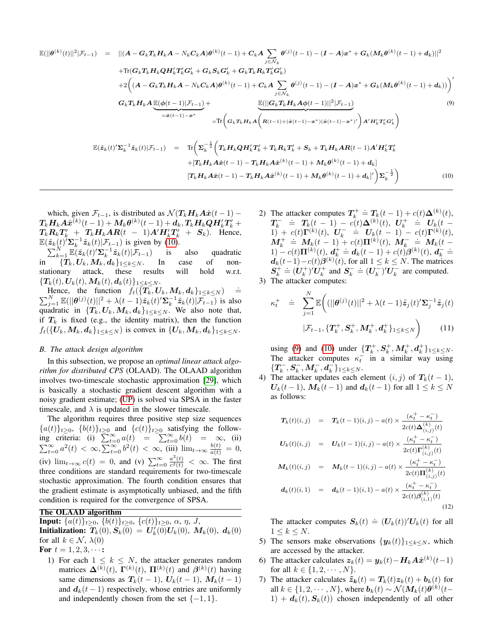<span id="page-3-0"></span>
$$
\mathbb{E}(||\theta^{(k)}(t)||^{2}|\mathcal{F}_{t-1}) = ||(A - G_{k}T_{k}H_{k}A - N_{k}C_{k}A)\theta^{(k)}(t-1) + C_{k}A \sum_{j \in \mathcal{N}_{k}} \theta^{(j)}(t-1) - (I - A)x^{*} + G_{k}(M_{k}\theta^{(k)}(t-1) + d_{k})||^{2}
$$
  
+Tr $(G_{k}T_{k}H_{k}QH'_{k}T'_{k}G'_{k} + G_{k}S_{k}G'_{k} + G_{k}T_{k}R_{k}T'_{k}G'_{k})$   
+2 $\Big((A - G_{k}T_{k}H_{k}A - N_{k}C_{k}A)\theta^{(k)}(t-1) + C_{k}A \sum_{j \in \mathcal{N}_{k}} \theta^{(j)}(t-1) - (I - A)x^{*} + G_{k}(M_{k}\theta^{(k)}(t-1) + d_{k}))\Big)'$   
 $G_{k}T_{k}H_{k}A \underbrace{\mathbb{E}(\phi(t-1)|\mathcal{F}_{t-1})}_{=\hat{\sigma}(t-1)-x^{*}} + \frac{\mathbb{E}(\vert [G_{k}T_{k}H_{k}A\phi(t-1)||^{2}|\mathcal{F}_{t-1})}{\mathbb{E}(\vert [G_{k}T_{k}H_{k}A\phi(t-1)]-x^{*})}\Big)A'H'_{k}T'_{k}G'_{k}\Big)$   
 $\mathbb{E}(\tilde{z}_{k}(t)'\Sigma_{k}^{-1}\tilde{z}_{k}(t)|\mathcal{F}_{t-1}) = \text{Tr}\Big(\Sigma_{k}^{-\frac{1}{2}}\Big(T_{k}H_{k}QH'_{k}T'_{k} + T_{k}R_{k}T'_{k} + S_{k} + T_{k}H_{k}AR(t-1)A'H'_{k}T'_{k} + |T_{k}H_{k}A\hat{\sigma}(t-1) - T_{k}H_{k}A\hat{\sigma}^{(k)}(t-1) + M_{k}\theta^{(k)}(t-1) + d_{k}\Big) \Big| \Sigma_{k}^{-\frac{1}{2}}\Big)$   
 $(10)$ 

<span id="page-3-1"></span>which, given  $\mathcal{F}_{t-1}$ , is distributed as  $\mathcal{N}(T_kH_kA\hat{x}(t-1) \bm{T}_{k} \bm{H}_{k} \bm{A} \hat{\bm{x}}^{(k)}(t-1) + \bm{M}_{k} \bm{\theta}^{(k)}(t-1) + \bm{d}_{k}, \bm{T}_{k} \bm{H}_{k} \bm{Q} \bm{H}'_{k} \bm{T}'_{k} +$  $T_k \mathbf{R}_k \mathbf{T}_k' + T_k \mathbf{H}_k \mathbf{A} \mathbf{R}(t - 1) \mathbf{A}' \mathbf{H}_k' \mathbf{T}_k' + S_k$ ). Hence,  $\mathbb{E}(\tilde{\mathbf{z}}_k(t) \mathbf{Z}_k^{-1} \tilde{\mathbf{z}}_k(t) | \mathcal{F}_{t-1})$  is given by [\(10\)](#page-3-1).

 $\sum_{k=1}^{N} \mathbb{E}(\tilde{\mathbf{z}}_k(t)'\mathbf{\Sigma}_k^{-1}\tilde{\mathbf{z}}_k(t)|\mathcal{F}_{t-1})$  is also quadratic in  $\{T_k, U_k, M_k, d_k\}_{1 \leq k \leq N}$ . In case of non-<br>stationary attack, these results will hold w.r.t. stationary attack, these results will hold w.r.t.  $\{T_k(t), U_k(t), M_k(t), d_k(t)\}_{1 \leq k \leq N}$ .

Hence, the function  $f_t({\lbrace T_k, U_k, M_k, d_k \rbrace}_{1 \leq k \leq N})$  $\stackrel{.}{=}$ Hence, the function  $f_t(\{\mathcal{T}_k, \mathbf{U}_k, \mathbf{M}_k, \mathbf{d}_k\}_{1 \leq k \leq N}) \doteq \sum_{j=1}^N \mathbb{E}(\|\boldsymbol{\theta}^{(j)}(t)\|^2 + \lambda(t-1)\tilde{\mathbf{z}}_k(t)'\boldsymbol{\Sigma}_k^{-1}\tilde{\mathbf{z}}_k(t)|\mathcal{F}_{t-1})$  is also quadratic in  $\{T_k, U_k, M_k, d_k\}_{1 \leq k \leq N}$ . We also note that, if  $T_k$  is fixed (e.g., the identity matrix), then the function  $f_t({U_k, M_k, d_k}_{1 \leq k \leq N})$  is convex in  ${U_k, M_k, d_k}_{1 \leq k \leq N}$ .

## <span id="page-3-2"></span>*B. The attack design algorithm*

In this subsection, we propose an *optimal linear attack algorithm for distributed CPS* (OLAAD). The OLAAD algorithm involves two-timescale stochastic approximation [\[29\]](#page-5-24), which is basically a stochastic gradient descent algorithm with a noisy gradient estimate; [\(UP\)](#page-2-2) is solved via SPSA in the faster timescale, and  $\lambda$  is updated in the slower timescale.

The algorithm requires three positive step size sequences  ${a(t)}_{t\geq0}$ ,  ${b(t)}_{t\geq0}$  and  ${c(t)}_{t\geq0}$  satisfying the following criteria: (i)  $\sum_{t=0}^{\infty} a(t) = \sum_{t=0}^{\infty} b(t) = \infty$ , (ii)  $\sum_{t=0}^{\infty} a^2(t) < \infty$ ,  $\sum_{t=0}^{\infty} b^2(t) < \infty$ , (iii)  $\lim_{t\to\infty} \frac{b(t)}{a(t)} = 0$ , (iv)  $\lim_{t\to\infty} c(t) = 0$ , and (v)  $\sum_{t=0}^{\infty} \frac{a^2(t)}{c^2(t)}$  $\frac{a^-(t)}{c^2(t)} < \infty$ . The first three conditions are standard requirements for two-timescale stochastic approximation. The fourth condition ensures that the gradient estimate is asymptotically unbiased, and the fifth condition is required for the convergence of SPSA.

# The OLAAD algorithm

**Input:**  $\{a(t)\}_{t\geq 0}, \{b(t)\}_{t\geq 0}, \{c(t)\}_{t\geq 0}, \alpha, \eta, J,$ **Initialization:**  $\overline{T_k(0)}, \overline{S_k(0)} = U'_k(0)U_k(0), M_k(0), d_k(0)$ for all  $k \in \mathcal{N}$ ,  $\lambda(0)$ 

For  $t = 1, 2, 3, \cdots$ :

1) For each  $1 \leq k \leq N$ , the attacker generates random matrices  $\mathbf{\Delta}^{(k)}(t)$ ,  $\mathbf{\Gamma}^{(k)}(t)$ ,  $\mathbf{\Pi}^{(k)}(t)$  and  $\boldsymbol{\beta}^{(k)}(t)$  having same dimensions as  $T_k(t-1)$ ,  $U_k(t-1)$ ,  $M_k(t-1)$ and  $d_k(t-1)$  respectively, whose entries are uniformly and independently chosen from the set  $\{-1, 1\}$ .

- 2) The attacker computes  $T_k^+ \doteq T_k(t-1) + c(t)\Delta^{(k)}(t)$ ,  $T_k^-$  =  $T_k(t-1) - c(t)\Delta^{(k)}(t), U_k^+$  =  $U_k(t \mathbf{U}_k = \mathbf{X}_k(x)$ <br>  $\mathbf{U}_k = (t)\mathbf{\Gamma}^{(k)}(t), \quad \mathbf{U}_k = \mathbf{U}_k(t-1) - c(t)\mathbf{\Gamma}^{(k)}(t),$  $M_k^+ \doteq M_k(t-1) + c(t) \Pi^{(k)}(t), \ M_k^- \doteq M_k(t-1)$ 1) – c(t) $\Pi^{(k)}(t)$ ,  $d_k^+ \doteq d_k(t-1) + c(t)\beta^{(k)}(t)$ ,  $d_k^- \doteq$  $d_k(t-1) - c(t)\beta^{(k)}(t)$ , for all  $1 \leq k \leq N$ . The matrices  $S_k^+ \doteq (U_k^+)' U_k^+$  and  $S_k^- \doteq (U_k^-)' U_k^-$  are computed.
- 3) The attacker computes:

$$
\kappa_t^+ \quad \doteq \quad \sum_{j=1}^N \mathbb{E}\bigg( (||\boldsymbol{\theta}^{(j)}(t)||^2 + \lambda(t-1)\tilde{\boldsymbol{z}}_j(t)' \boldsymbol{\Sigma}_j^{-1} \tilde{\boldsymbol{z}}_j(t) |\mathcal{F}_{t-1}, \{\boldsymbol{T}_k^+, \boldsymbol{S}_k^+, \boldsymbol{M}_k^+, \boldsymbol{d}_k^+\}_{1 \le k \le N} \bigg) \tag{11}
$$

using [\(9\)](#page-3-0) and [\(10\)](#page-3-1) under  $\{T_k^+, S_k^+, M_k^+, d_k^+\}_{1 \leq k \leq N}$ . The attacker computes  $\kappa_t^-$  in a similar way using  $\{T_k^-,S_k^-,M_k^-,d_k^-\}_{1\leq k\leq N}.$ 

4) The attacker updates each element  $(i, j)$  of  $T_k(t - 1)$ ,  $U_k(t-1)$ ,  $M_k(t-1)$  and  $d_k(t-1)$  for all  $1 \leq k \leq N$ as follows:

$$
T_k(t)(i,j) = T_k(t-1)(i,j) - a(t) \times \frac{(\kappa_t^+ - \kappa_t^-)}{2c(t)\Delta_{(i,j)}^{(k)}(t)}
$$
  
\n
$$
U_k(t)(i,j) = U_k(t-1)(i,j) - a(t) \times \frac{(\kappa_t^+ - \kappa_t^-)}{2c(t)\Gamma_{(i,j)}^{(k)}(t)}
$$
  
\n
$$
M_k(t)(i,j) = M_k(t-1)(i,j) - a(t) \times \frac{(\kappa_t^+ - \kappa_t^-)}{2c(t)\Pi_{(i,j)}^{(k)}(t)}
$$
  
\n
$$
d_k(t)(i,1) = d_k(t-1)(i,1) - a(t) \times \frac{(\kappa_t^+ - \kappa_t^-)}{2c(t)\beta_{(i,1)}^{(k)}(t)}
$$
  
\n(12)

The attacker computes  $S_k(t) \doteq (U_k(t))'U_k(t)$  for all  $1 \leq k \leq N$ .

- 5) The sensors make observations  $\{y_k(t)\}_{1\leq k\leq N}$ , which are accessed by the attacker.
- 6) The attacker calculates  $z_k(t) = y_k(t) H_k A \hat{x}^{(k)}(t-1)$ for all  $k \in \{1, 2, \cdots, N\}.$
- 7) The attacker calculates  $\tilde{z}_k(t) = T_k(t)z_k(t) + b_k(t)$  for all  $k \in \{1, 2, \cdots, N\}$ , where  $\bm{b}_k(t) \sim \mathcal{N}(\bm{M}_k(t)\bm{\theta}^{(k)}(t 1) + d_k(t), S_k(t)$  chosen independently of all other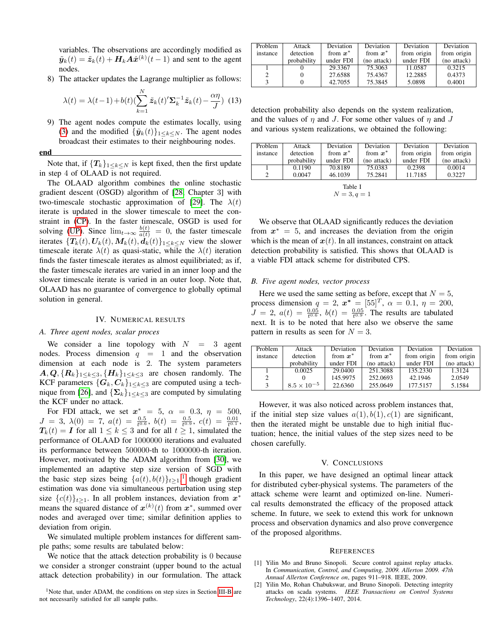variables. The observations are accordingly modified as  $\tilde{\mathbf{y}}_k(t) = \tilde{\mathbf{z}}_k(t) + \mathbf{H}_k \mathbf{A} \hat{\mathbf{x}}^{(k)}(t-1)$  and sent to the agent nodes.

8) The attacker updates the Lagrange multiplier as follows:

$$
\lambda(t) = \lambda(t-1) + b(t) \left(\sum_{k=1}^{N} \tilde{z}_k(t)' \Sigma_k^{-1} \tilde{z}_k(t) - \frac{\alpha \eta}{J}\right)
$$
(13)

9) The agent nodes compute the estimates locally, using [\(3\)](#page-1-2) and the modified  $\{\tilde{\boldsymbol{y}}_k(t)\}_{1\leq k\leq N}$ . The agent nodes broadcast their estimates to their neighbouring nodes.

#### end

Note that, if  ${T_k}_{1\leq k\leq N}$  is kept fixed, then the first update in step 4 of OLAAD is not required.

The OLAAD algorithm combines the online stochastic gradient descent (OSGD) algorithm of [\[28,](#page-5-23) Chapter 3] with two-timescale stochastic approximation of [\[29\]](#page-5-24). The  $\lambda(t)$ iterate is updated in the slower timescale to meet the constraint in [\(CP\)](#page-2-1). In the faster timescale, OSGD is used for solving [\(UP\)](#page-2-2). Since  $\lim_{t\to\infty} \frac{b(t)}{a(t)} = 0$ , the faster timescale iterates  $\{T_k(t), U_k(t), M_k(t), d_k(t)\}_{1 \leq k \leq N}$  view the slower timescale iterate  $\lambda(t)$  as quasi-static, while the  $\lambda(t)$  iteration finds the faster timescale iterates as almost equilibriated; as if, the faster timescale iterates are varied in an inner loop and the slower timescale iterate is varied in an outer loop. Note that, OLAAD has no guarantee of convergence to globally optimal solution in general.

## IV. NUMERICAL RESULTS

# <span id="page-4-2"></span>*A. Three agent nodes, scalar proces*

We consider a line topology with  $N = 3$  agent nodes. Process dimension  $q = 1$  and the observation dimension at each node is 2. The system parameters  $A, Q, \{R_k\}_{1 \leq k \leq 3}, \{H_k\}_{1 \leq k \leq 3}$  are chosen randomly. The KCF parameters  $\{G_k, C_k\}_{1 \leq k \leq 3}$  are computed using a tech-nique from [\[26\]](#page-5-21), and  $\{\mathbf\Sigma_k\}_{1 \leq k \leq 3}$  are computed by simulating the KCF under no attack.

For FDI attack, we set  $x^* = 5$ ,  $\alpha = 0.3$ ,  $\eta = 500$ ,  $J = 3, \ \lambda(0) = 7, \ a(t) = \frac{0.5}{t^{0.6}}, \ b(t) = \frac{0.5}{t^{0.9}}, \ c(t) = \frac{0.01}{t^{0.1}},$  $T_k(t) = I$  for all  $1 \leq k \leq 3$  and for all  $t \geq 1$ , simulated the performance of OLAAD for 1000000 iterations and evaluated its performance between 500000-th to 1000000-th iteration. However, motivated by the ADAM algorithm from [\[30\]](#page-5-25), we implemented an adaptive step size version of SGD with the basic step sizes being  $\{a(t), b(t)\}_{t\geq 1}$  $\{a(t), b(t)\}_{t\geq 1}$  $\{a(t), b(t)\}_{t\geq 1}$ , though gradient estimation was done via simultaneous perturbation using step size  $\{c(t)\}_{t\geq 1}$ . In all problem instances, deviation from  $x^*$ means the squared distance of  $x^{(k)}(t)$  from  $x^*$ , summed over nodes and averaged over time; similar definition applies to deviation from origin.

We simulated multiple problem instances for different sample paths; some results are tabulated below:

We notice that the attack detection probability is 0 because we consider a stronger constraint (upper bound to the actual attack detection probability) in our formulation. The attack

| Problem  | Attack      | Deviation  | Deviation   | Deviation   | Deviation   |
|----------|-------------|------------|-------------|-------------|-------------|
| instance | detection   | from $x^*$ | from $x^*$  | from origin | from origin |
|          | probability | under FDI  | (no attack) | under FDI   | (no attack) |
|          |             | 29.3367    | 75.3063     | 11.0587     | 0.3215      |
|          |             | 27.6588    | 75.4367     | 12.2885     | 0.4373      |
|          |             | 42.7055    | 75.3845     | 5.0898      | 0.4001      |

detection probability also depends on the system realization, and the values of  $\eta$  and J. For some other values of  $\eta$  and J and various system realizations, we obtained the following:

| Problem  | Attack      | Deviation  | Deviation   | Deviation   | Deviation   |  |  |
|----------|-------------|------------|-------------|-------------|-------------|--|--|
| instance | detection   | from $x^*$ | from $x^*$  | from origin | from origin |  |  |
|          | probability | under FDI  | (no attack) | under FDI   | (no attack) |  |  |
|          | 0.1190      | 70.8189    | 75.0383     | 0.2398      | 0.0014      |  |  |
|          | 0.0047      | 46.1039    | 75.2841     | 11.7185     | 0.3227      |  |  |
| Table I  |             |            |             |             |             |  |  |

$$
N=3, q=1
$$

We observe that OLAAD significantly reduces the deviation from  $x^* = 5$ , and increases the deviation from the origin which is the mean of  $x(t)$ . In all instances, constraint on attack detection probability is satisfied. This shows that OLAAD is a viable FDI attack scheme for distributed CPS.

#### *B. Five agent nodes, vector process*

Here we used the same setting as before, except that  $N = 5$ , process dimension  $q = 2$ ,  $x^* = [55]^T$ ,  $\alpha = 0.1$ ,  $\eta = 200$ ,  $J = 2, a(t) = \frac{0.05}{t^{0.6}}, b(t) = \frac{0.05}{t^{0.9}}$ . The results are tabulated next. It is to be noted that here also we observe the same pattern in results as seen for  $N = 3$ .

| Problem  | Attack               | <b>Deviation</b> | Deviation   | <b>Deviation</b> | Deviation   |
|----------|----------------------|------------------|-------------|------------------|-------------|
| instance | detection            | from $x^*$       | from $x^*$  | from origin      | from origin |
|          | probability          | under FDI        | (no attack) | under FDI        | (no attack) |
|          | 0.0025               | 29.0400          | 251.3088    | 135,2330         | 1.3124      |
| 2        |                      | 145.9975         | 252.0693    | 42.1946          | 2.0549      |
|          | $8.5 \times 10^{-5}$ | 22.6360          | 255.0649    | 177.5157         | 5.1584      |

However, it was also noticed across problem instances that, if the initial step size values  $a(1)$ ,  $b(1)$ ,  $c(1)$  are significant, then the iterated might be unstable due to high initial fluctuation; hence, the initial values of the step sizes need to be chosen carefully.

#### V. CONCLUSIONS

<span id="page-4-3"></span>In this paper, we have designed an optimal linear attack for distributed cyber-physical systems. The parameters of the attack scheme were learnt and optimized on-line. Numerical results demonstrated the efficacy of the proposed attack scheme. In future, we seek to extend this work for unknown process and observation dynamics and also prove convergence of the proposed algorithms.

#### **REFERENCES**

- <span id="page-4-0"></span>[1] Yilin Mo and Bruno Sinopoli. Secure control against replay attacks. In *Communication, Control, and Computing, 2009. Allerton 2009. 47th Annual Allerton Conference on*, pages 911–918. IEEE, 2009.
- <span id="page-4-1"></span>[2] Yilin Mo, Rohan Chabukswar, and Bruno Sinopoli. Detecting integrity attacks on scada systems. *IEEE Transactions on Control Systems Technology*, 22(4):1396–1407, 2014.

<span id="page-4-4"></span><sup>&</sup>lt;sup>1</sup>Note that, under ADAM, the conditions on step sizes in Section [III-B](#page-3-2) are not necessarily satisfied for all sample paths.